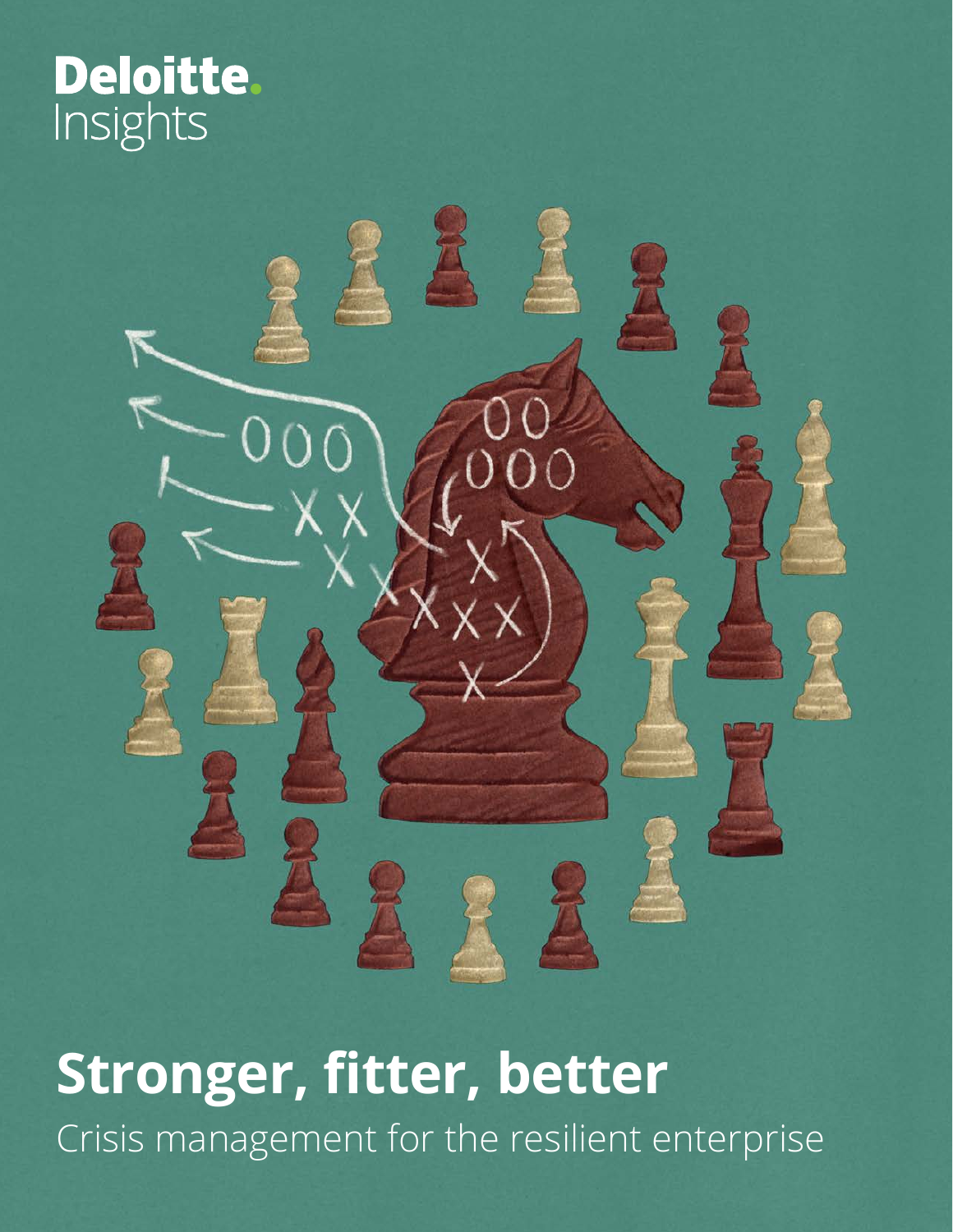# Deloitte.<br>Insights



# **Stronger, fitter, better** Crisis management for the resilient enterprise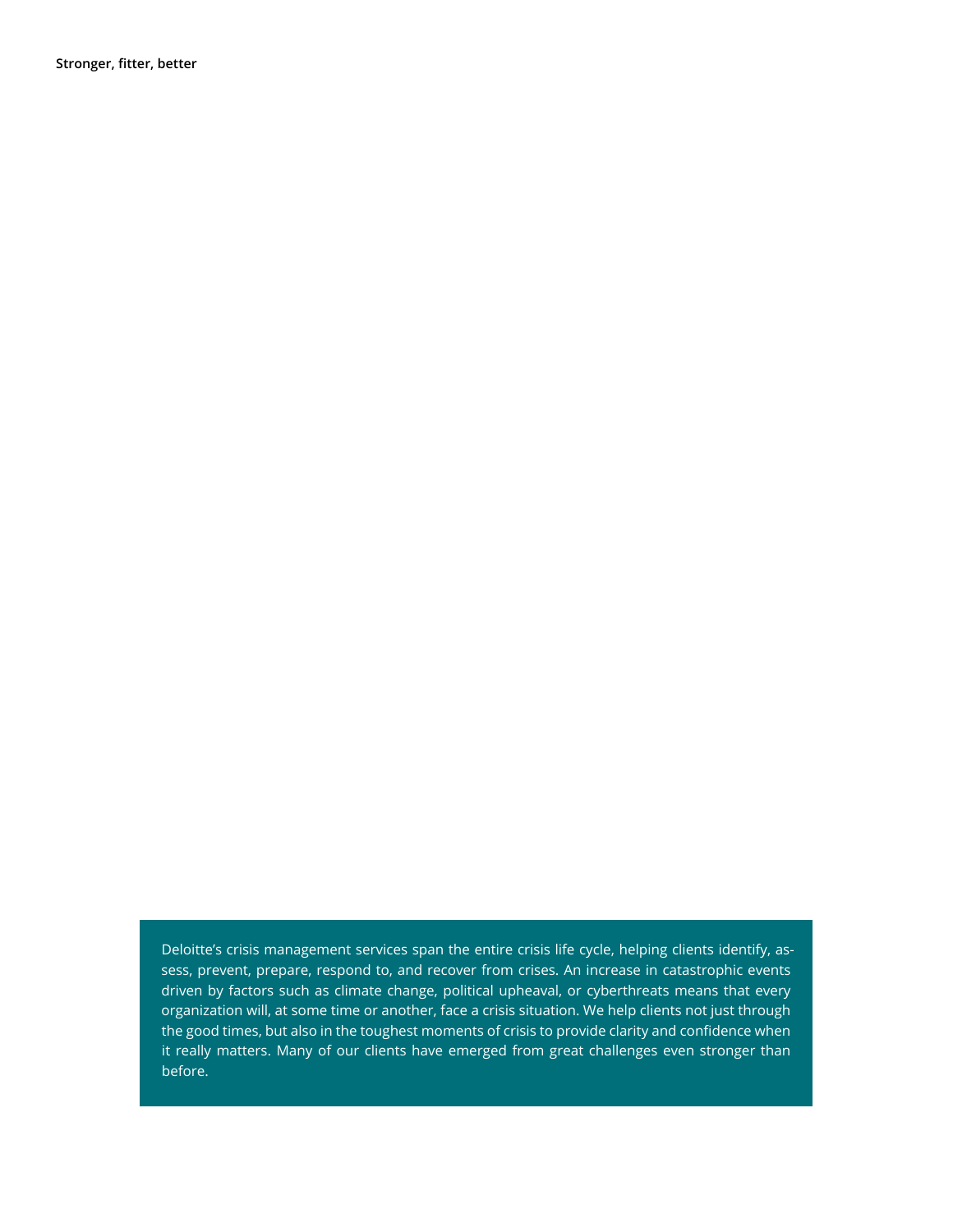**Stronger, fitter, better**

Deloitte's crisis management services span the entire crisis life cycle, helping clients identify, assess, prevent, prepare, respond to, and recover from crises. An increase in catastrophic events driven by factors such as climate change, political upheaval, or cyberthreats means that every organization will, at some time or another, face a crisis situation. We help clients not just through the good times, but also in the toughest moments of crisis to provide clarity and confidence when it really matters. Many of our clients have emerged from great challenges even stronger than before.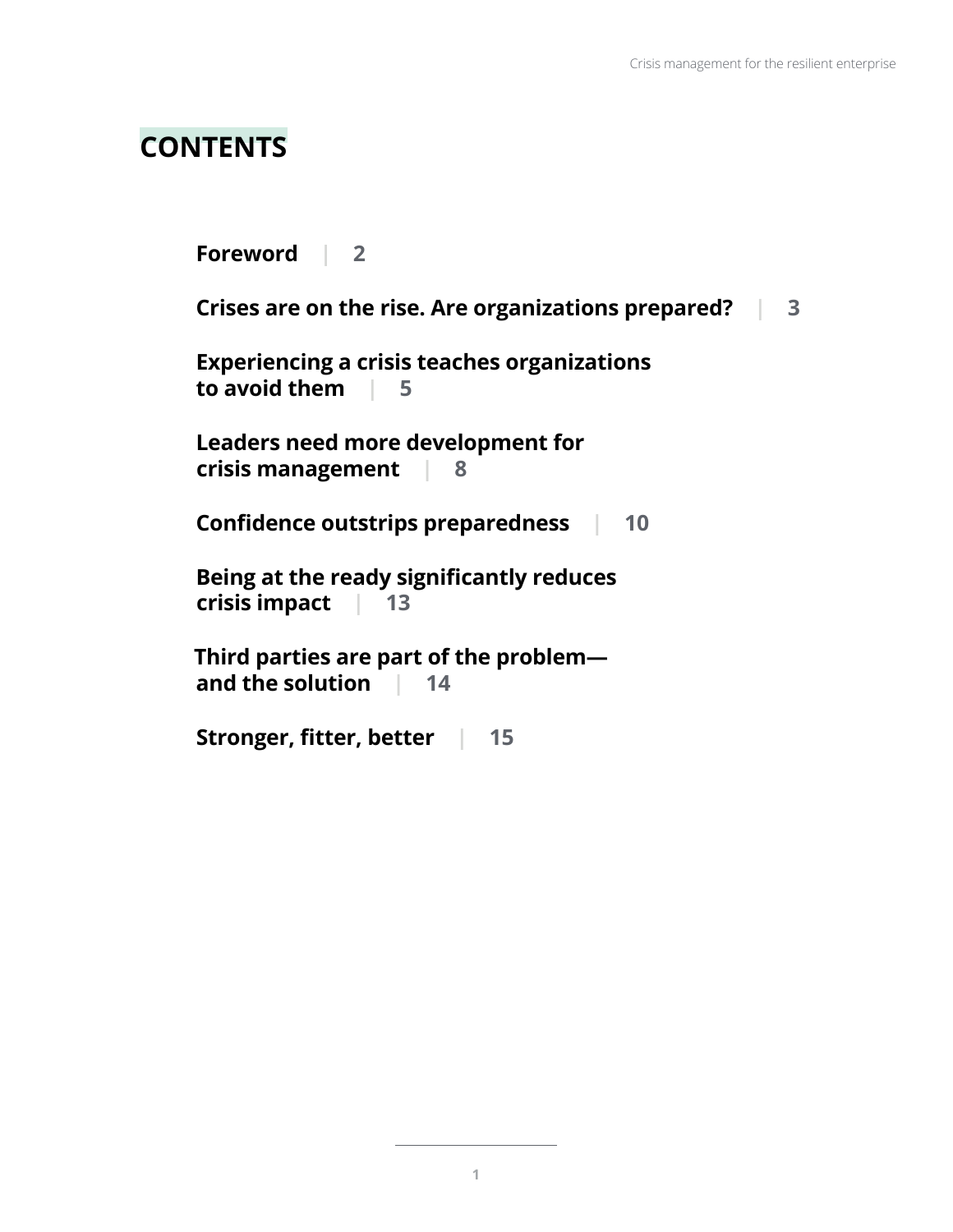# **CONTENTS**

**[Foreword](#page-3-0) | 2 [Crises are on the rise. Are organizations prepared?](#page-4-0) | 3 [Experiencing a crisis teaches organizations](#page-6-0)  [to avoid them](#page-6-0) | 5 [Leaders need more development for](#page-9-0)  [crisis management](#page-9-0) | 8 [Confidence outstrips preparedness |](#page-11-0) 10 [Being at the ready significantly reduces](#page-14-0)  [crisis impact](#page-14-0) | 13 [Third parties are part of the problem](#page-15-0) [and the solution |](#page-15-0) 14 [Stronger, fitter, better |](#page-16-0) 15**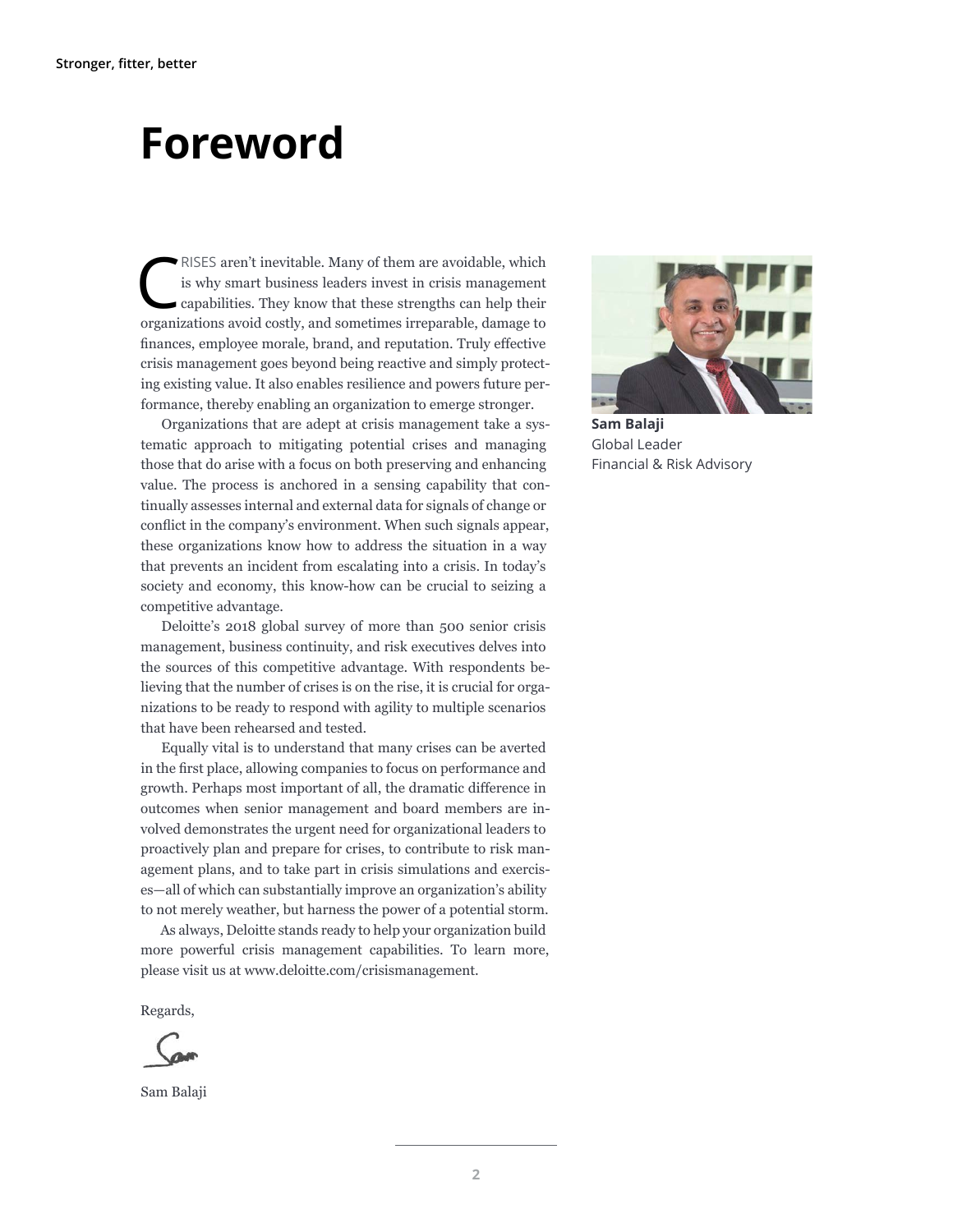# <span id="page-3-0"></span>**Foreword**

RISES aren't inevitable. Many of them are avoidable, which<br>is why smart business leaders invest in crisis management<br>capabilities. They know that these strengths can help their<br>manifolds and are the and arm times immediabl is why smart business leaders invest in crisis management capabilities. They know that these strengths can help their organizations avoid costly, and sometimes irreparable, damage to finances, employee morale, brand, and reputation. Truly effective crisis management goes beyond being reactive and simply protecting existing value. It also enables resilience and powers future performance, thereby enabling an organization to emerge stronger.

Organizations that are adept at crisis management take a systematic approach to mitigating potential crises and managing those that do arise with a focus on both preserving and enhancing value. The process is anchored in a sensing capability that continually assesses internal and external data for signals of change or conflict in the company's environment. When such signals appear, these organizations know how to address the situation in a way that prevents an incident from escalating into a crisis. In today's society and economy, this know-how can be crucial to seizing a competitive advantage.

Deloitte's 2018 global survey of more than 500 senior crisis management, business continuity, and risk executives delves into the sources of this competitive advantage. With respondents believing that the number of crises is on the rise, it is crucial for organizations to be ready to respond with agility to multiple scenarios that have been rehearsed and tested.

Equally vital is to understand that many crises can be averted in the first place, allowing companies to focus on performance and growth. Perhaps most important of all, the dramatic difference in outcomes when senior management and board members are involved demonstrates the urgent need for organizational leaders to proactively plan and prepare for crises, to contribute to risk management plans, and to take part in crisis simulations and exercises—all of which can substantially improve an organization's ability to not merely weather, but harness the power of a potential storm.

As always, Deloitte stands ready to help your organization build more powerful crisis management capabilities. To learn more, please visit us at [www.deloitte.com/crisismanagement](http://www.deloitte.com/crisismanagement).

Regards,

Sam Balaji



**Sam Balaji** Global Leader Financial & Risk Advisory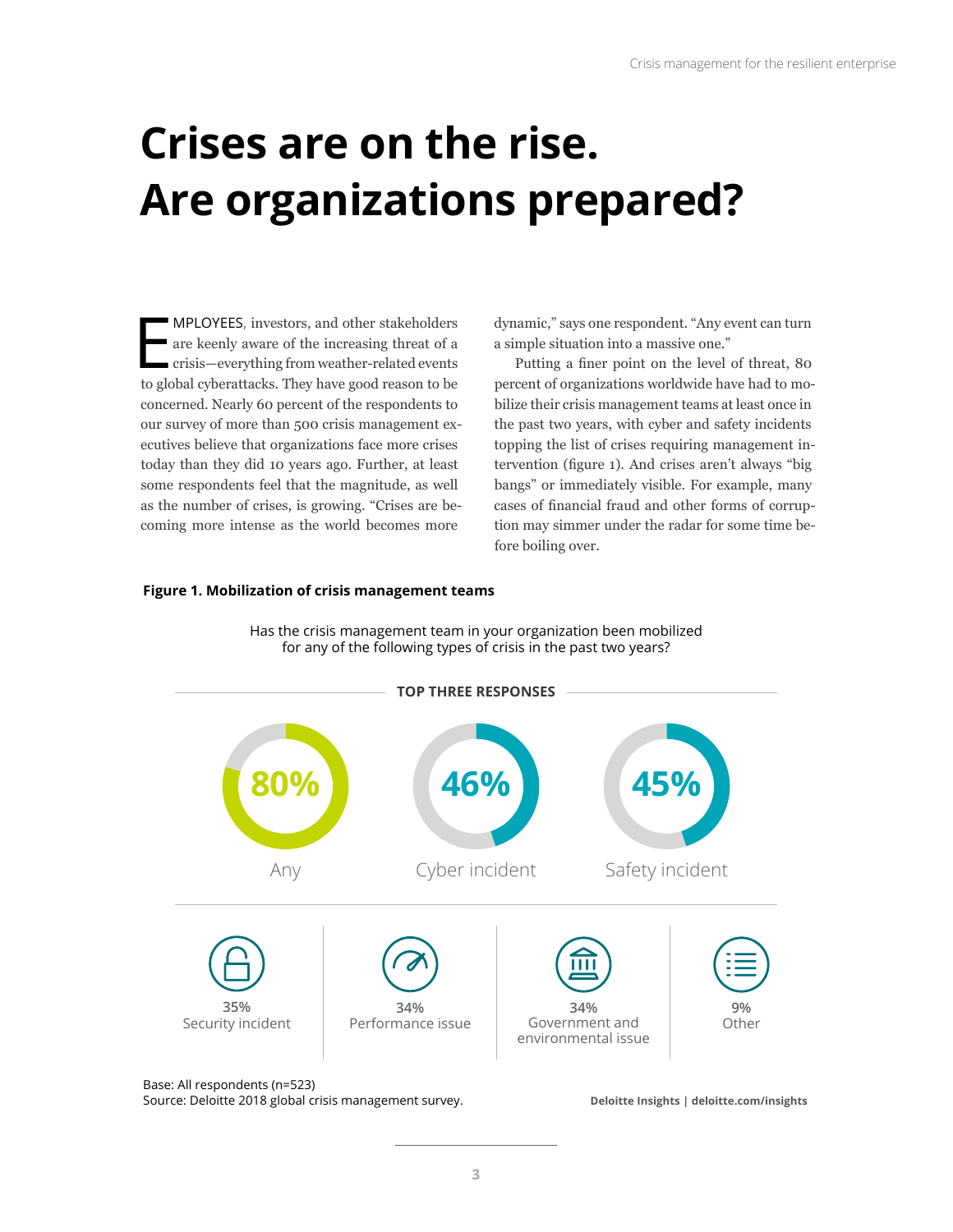# <span id="page-4-0"></span>**Crises are on the rise. Are organizations prepared?**

MPLOYEES, investors, and other stakeholders<br>are keenly aware of the increasing threat of a<br>crisis—everything from weather-related events<br>to global cyberattacks. They have good reason to be MPLOYEES, investors, and other stakeholders are keenly aware of the increasing threat of a crisis—everything from weather-related events concerned. Nearly 60 percent of the respondents to our survey of more than 500 crisis management executives believe that organizations face more crises today than they did 10 years ago. Further, at least some respondents feel that the magnitude, as well as the number of crises, is growing. "Crises are becoming more intense as the world becomes more

dynamic," says one respondent. "Any event can turn a simple situation into a massive one."

Putting a finer point on the level of threat, 80 percent of organizations worldwide have had to mobilize their crisis management teams at least once in the past two years, with cyber and safety incidents topping the list of crises requiring management intervention (figure 1). And crises aren't always "big bangs" or immediately visible. For example, many cases of financial fraud and other forms of corruption may simmer under the radar for some time before boiling over.

#### **Figure 1. Mobilization of crisis management teams**

Has the crisis management team in your organization been mobilized for any of the following types of crisis in the past two years?



**3**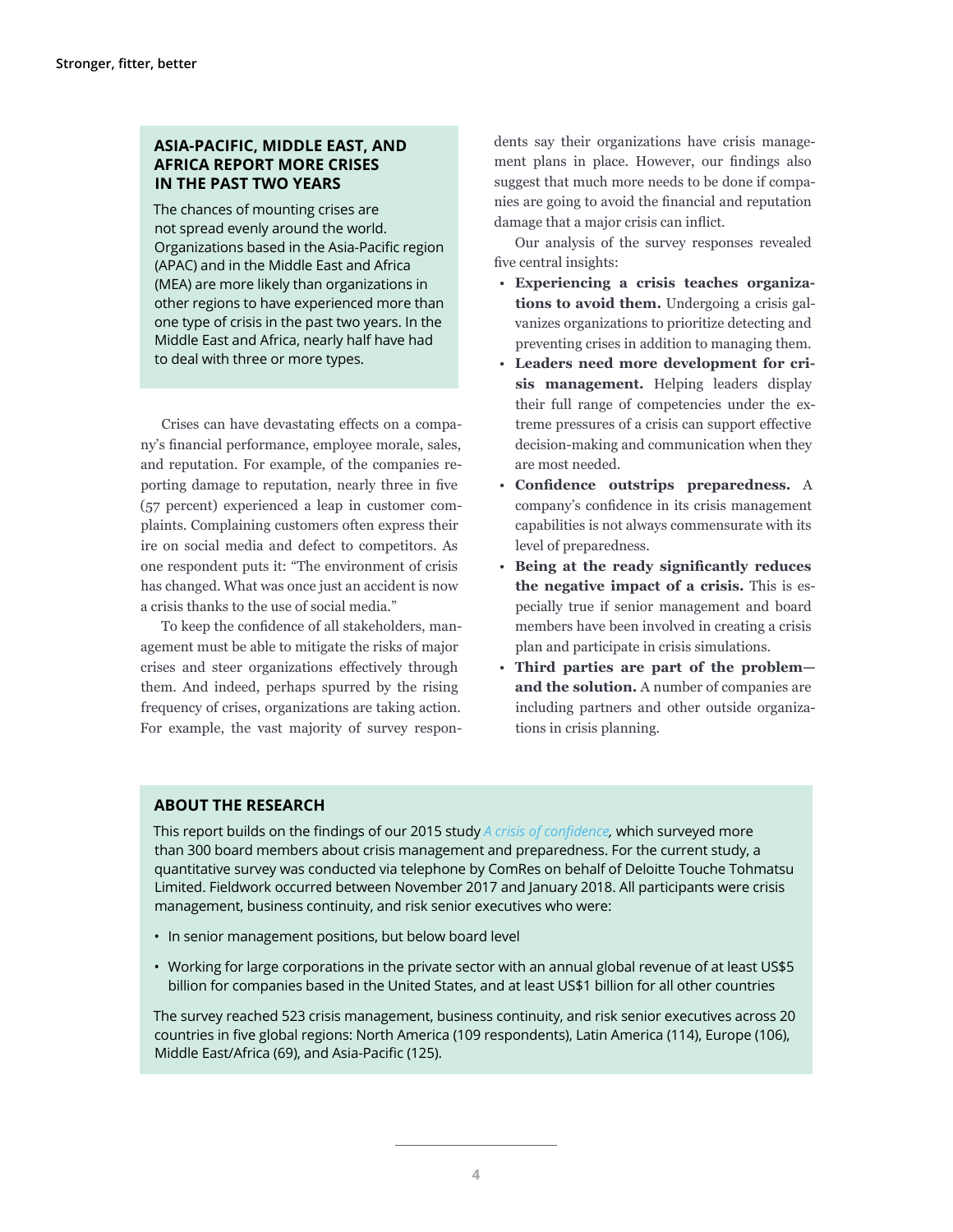### **ASIA-PACIFIC, MIDDLE EAST, AND AFRICA REPORT MORE CRISES IN THE PAST TWO YEARS**

The chances of mounting crises are not spread evenly around the world. Organizations based in the Asia-Pacific region (APAC) and in the Middle East and Africa (MEA) are more likely than organizations in other regions to have experienced more than one type of crisis in the past two years. In the Middle East and Africa, nearly half have had to deal with three or more types.

Crises can have devastating effects on a company's financial performance, employee morale, sales, and reputation. For example, of the companies reporting damage to reputation, nearly three in five (57 percent) experienced a leap in customer complaints. Complaining customers often express their ire on social media and defect to competitors. As one respondent puts it: "The environment of crisis has changed. What was once just an accident is now a crisis thanks to the use of social media."

To keep the confidence of all stakeholders, management must be able to mitigate the risks of major crises and steer organizations effectively through them. And indeed, perhaps spurred by the rising frequency of crises, organizations are taking action. For example, the vast majority of survey respondents say their organizations have crisis management plans in place. However, our findings also suggest that much more needs to be done if companies are going to avoid the financial and reputation damage that a major crisis can inflict.

Our analysis of the survey responses revealed five central insights:

- **Experiencing a crisis teaches organizations to avoid them.** Undergoing a crisis galvanizes organizations to prioritize detecting and preventing crises in addition to managing them.
- **Leaders need more development for crisis management.** Helping leaders display their full range of competencies under the extreme pressures of a crisis can support effective decision-making and communication when they are most needed.
- **Confidence outstrips preparedness.** A company's confidence in its crisis management capabilities is not always commensurate with its level of preparedness.
- **Being at the ready significantly reduces the negative impact of a crisis.** This is especially true if senior management and board members have been involved in creating a crisis plan and participate in crisis simulations.
- **Third parties are part of the problem and the solution.** A number of companies are including partners and other outside organizations in crisis planning.

### **ABOUT THE RESEARCH**

This report builds on the findings of our 2015 study *[A crisis of confidence,](https://www2.deloitte.com/global/en/pages/risk/articles/a-crisis-of-confidence.html
)* which surveyed more than 300 board members about crisis management and preparedness. For the current study, a quantitative survey was conducted via telephone by ComRes on behalf of Deloitte Touche Tohmatsu Limited. Fieldwork occurred between November 2017 and January 2018. All participants were crisis management, business continuity, and risk senior executives who were:

- In senior management positions, but below board level
- Working for large corporations in the private sector with an annual global revenue of at least US\$5 billion for companies based in the United States, and at least US\$1 billion for all other countries

The survey reached 523 crisis management, business continuity, and risk senior executives across 20 countries in five global regions: North America (109 respondents), Latin America (114), Europe (106), Middle East/Africa (69), and Asia-Pacific (125).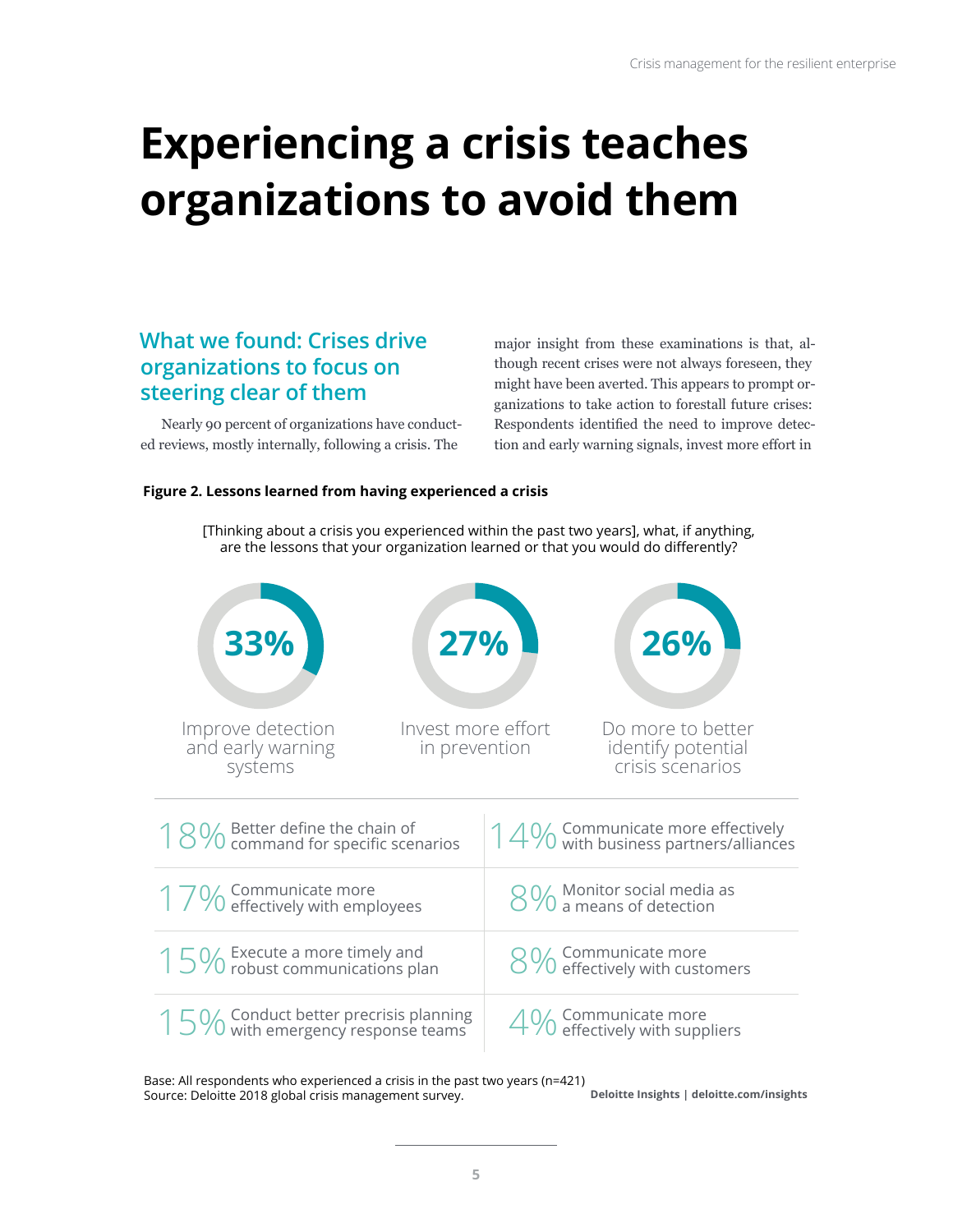# <span id="page-6-0"></span>**Experiencing a crisis teaches organizations to avoid them**

### **What we found: Crises drive organizations to focus on steering clear of them**

Nearly 90 percent of organizations have conducted reviews, mostly internally, following a crisis. The

major insight from these examinations is that, although recent crises were not always foreseen, they might have been averted. This appears to prompt organizations to take action to forestall future crises: Respondents identified the need to improve detection and early warning signals, invest more effort in

### **Figure 2. Lessons learned from having experienced a crisis**



[Thinking about a crisis you experienced within the past two years], what, if anything, are the lessons that your organization learned or that you would do differently?

**Deloitte Insights | deloitte.com/insights** Base: All respondents who experienced a crisis in the past two years (n=421) Source: Deloitte 2018 global crisis management survey.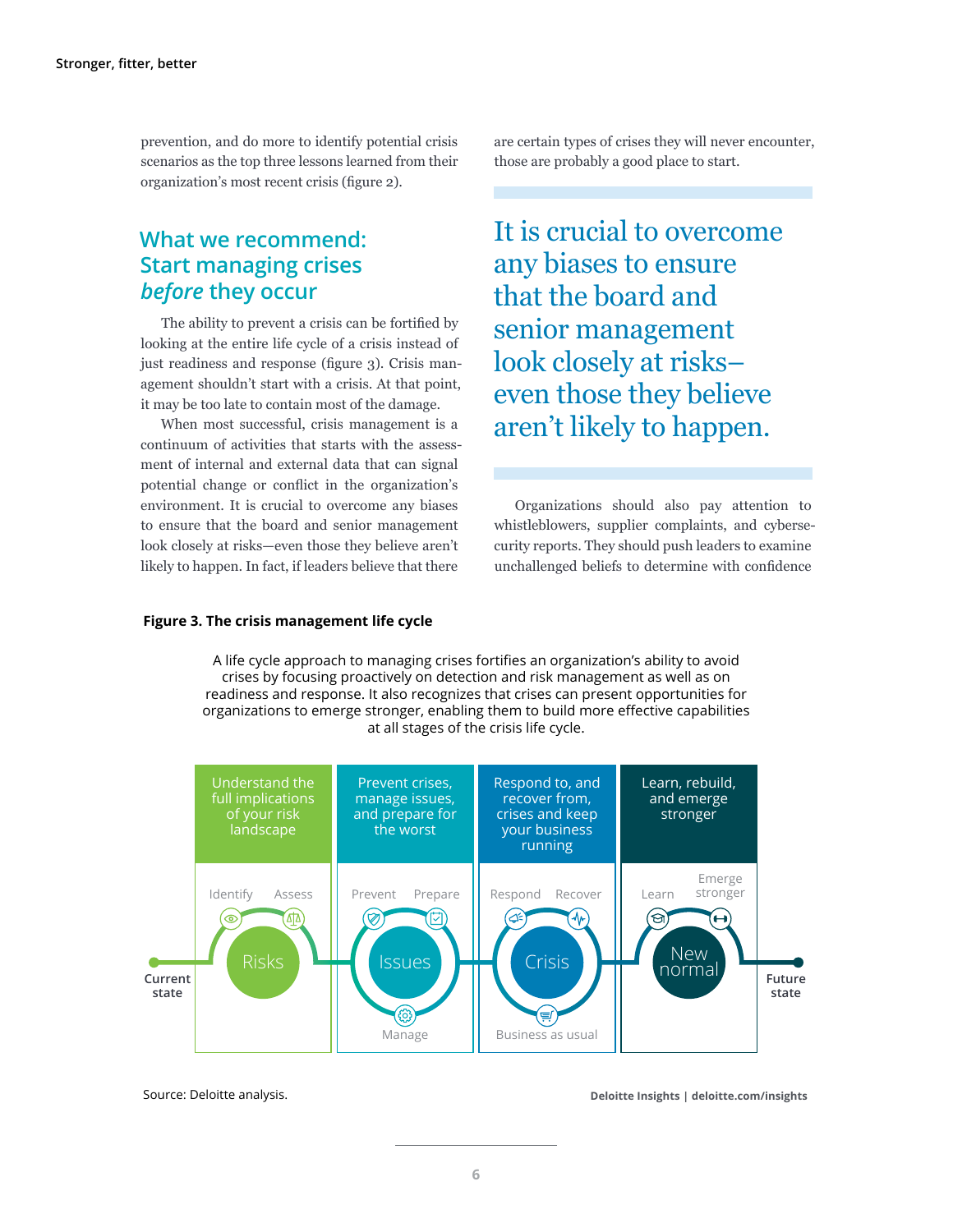prevention, and do more to identify potential crisis scenarios as the top three lessons learned from their organization's most recent crisis (figure 2).

### **What we recommend: Start managing crises**  *before* **they occur**

The ability to prevent a crisis can be fortified by looking at the entire life cycle of a crisis instead of just readiness and response (figure 3). Crisis management shouldn't start with a crisis. At that point, it may be too late to contain most of the damage.

When most successful, crisis management is a continuum of activities that starts with the assessment of internal and external data that can signal potential change or conflict in the organization's environment. It is crucial to overcome any biases to ensure that the board and senior management look closely at risks—even those they believe aren't likely to happen. In fact, if leaders believe that there

are certain types of crises they will never encounter, those are probably a good place to start.

It is crucial to overcome any biases to ensure that the board and senior management look closely at risks– even those they believe aren't likely to happen.

Organizations should also pay attention to whistleblowers, supplier complaints, and cybersecurity reports. They should push leaders to examine unchallenged beliefs to determine with confidence

#### **Figure 3. The crisis management life cycle**

A life cycle approach to managing crises fortifies an organization's ability to avoid crises by focusing proactively on detection and risk management as well as on readiness and response. It also recognizes that crises can present opportunities for organizations to emerge stronger, enabling them to build more effective capabilities at all stages of the crisis life cycle.



Source: Deloitte analysis.

**Deloitte Insights | deloitte.com/insights**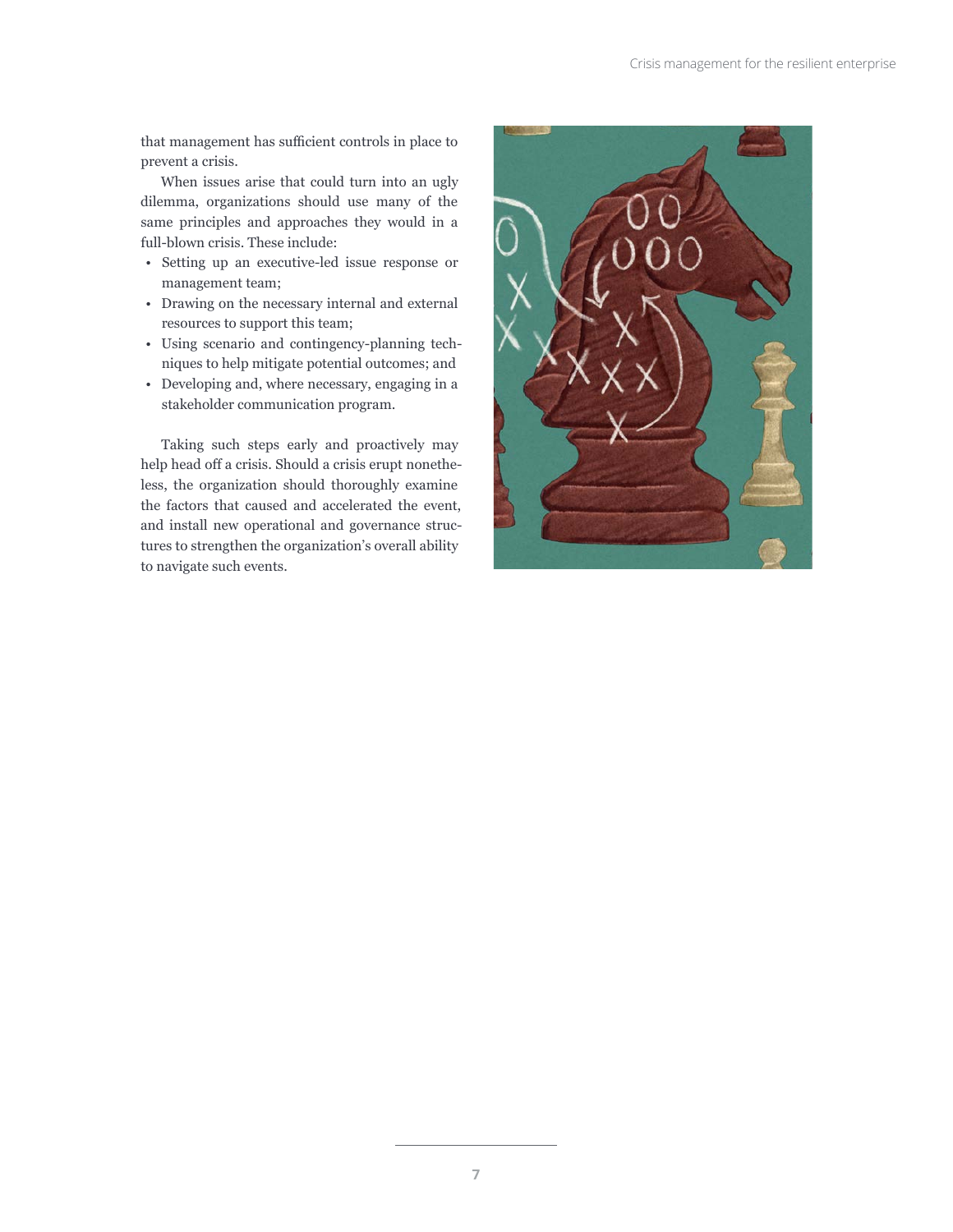that management has sufficient controls in place to prevent a crisis.

When issues arise that could turn into an ugly dilemma, organizations should use many of the same principles and approaches they would in a full-blown crisis. These include:

- Setting up an executive-led issue response or management team;
- Drawing on the necessary internal and external resources to support this team;
- Using scenario and contingency-planning techniques to help mitigate potential outcomes; and
- Developing and, where necessary, engaging in a stakeholder communication program.

Taking such steps early and proactively may help head off a crisis. Should a crisis erupt nonetheless, the organization should thoroughly examine the factors that caused and accelerated the event, and install new operational and governance structures to strengthen the organization's overall ability to navigate such events.

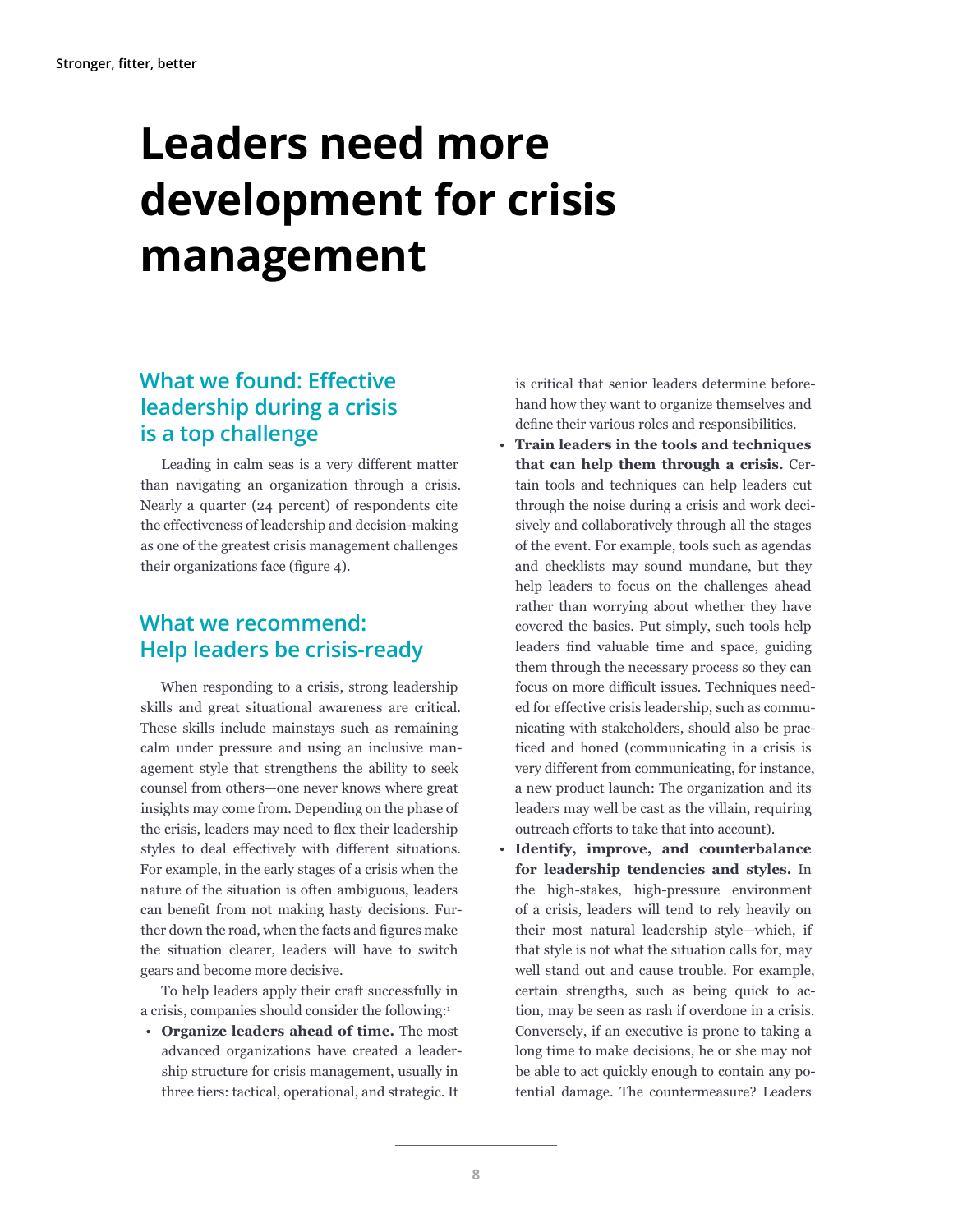# <span id="page-9-0"></span>**Leaders need more development for crisis management**

## **What we found: Effective leadership during a crisis is a top challenge**

Leading in calm seas is a very different matter than navigating an organization through a crisis. Nearly a quarter (24 percent) of respondents cite the effectiveness of leadership and decision-making as one of the greatest crisis management challenges their organizations face (figure 4).

### **What we recommend: Help leaders be crisis-ready**

When responding to a crisis, strong leadership skills and great situational awareness are critical. These skills include mainstays such as remaining calm under pressure and using an inclusive management style that strengthens the ability to seek counsel from others—one never knows where great insights may come from. Depending on the phase of the crisis, leaders may need to flex their leadership styles to deal effectively with different situations. For example, in the early stages of a crisis when the nature of the situation is often ambiguous, leaders can benefit from not making hasty decisions. Further down the road, when the facts and figures make the situation clearer, leaders will have to switch gears and become more decisive.

To help leaders apply their craft successfully in a crisis, companies should consider the following:<sup>1</sup>

• **Organize leaders ahead of time.** The most advanced organizations have created a leadership structure for crisis management, usually in three tiers: tactical, operational, and strategic. It

is critical that senior leaders determine beforehand how they want to organize themselves and define their various roles and responsibilities.

- **Train leaders in the tools and techniques that can help them through a crisis.** Certain tools and techniques can help leaders cut through the noise during a crisis and work decisively and collaboratively through all the stages of the event. For example, tools such as agendas and checklists may sound mundane, but they help leaders to focus on the challenges ahead rather than worrying about whether they have covered the basics. Put simply, such tools help leaders find valuable time and space, guiding them through the necessary process so they can focus on more difficult issues. Techniques needed for effective crisis leadership, such as communicating with stakeholders, should also be practiced and honed (communicating in a crisis is very different from communicating, for instance, a new product launch: The organization and its leaders may well be cast as the villain, requiring outreach efforts to take that into account).
- **Identify, improve, and counterbalance for leadership tendencies and styles.** In the high-stakes, high-pressure environment of a crisis, leaders will tend to rely heavily on their most natural leadership style—which, if that style is not what the situation calls for, may well stand out and cause trouble. For example, certain strengths, such as being quick to action, may be seen as rash if overdone in a crisis. Conversely, if an executive is prone to taking a long time to make decisions, he or she may not be able to act quickly enough to contain any potential damage. The countermeasure? Leaders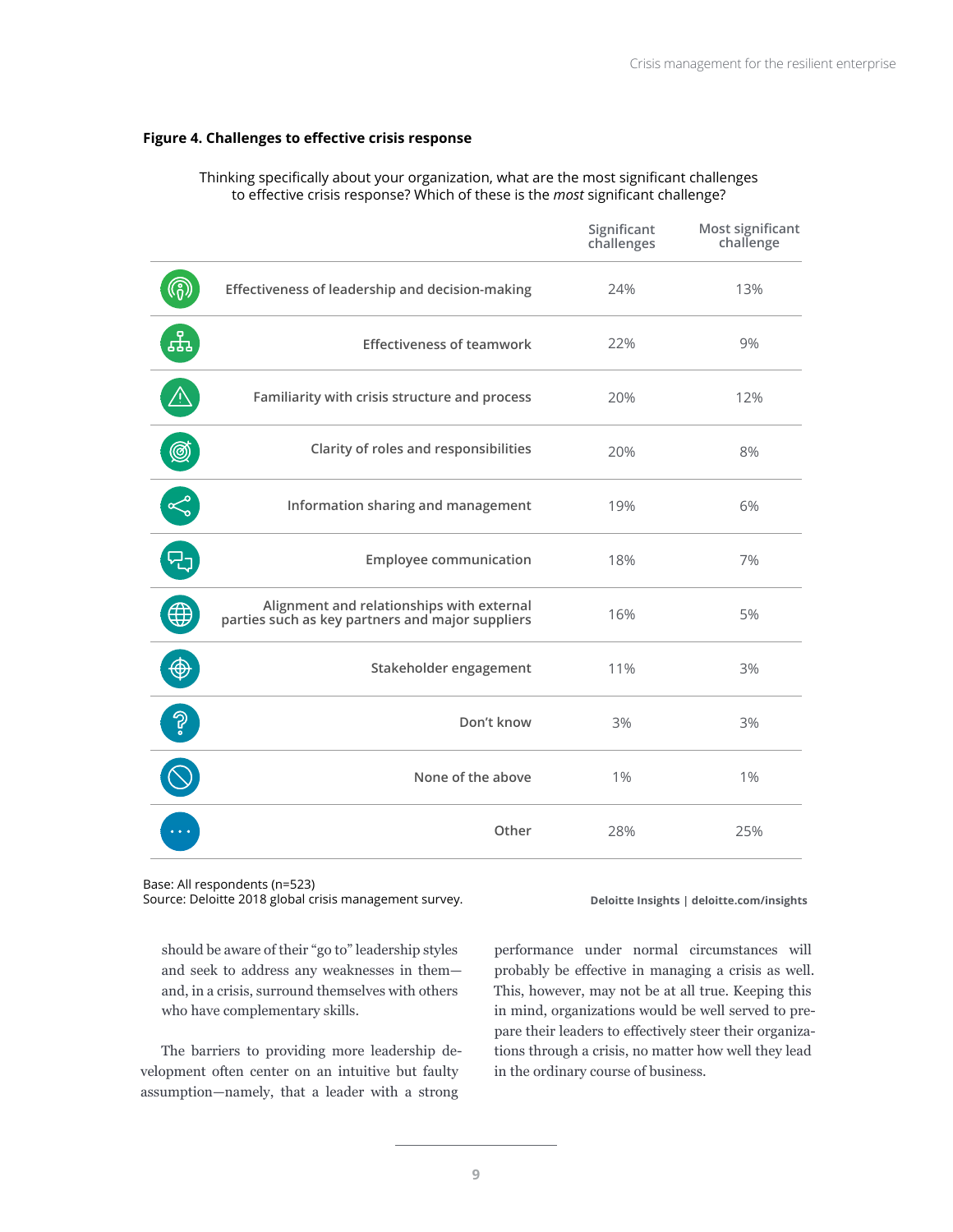#### **Figure 4. Challenges to effective crisis response**

|                |                                                                                               | Significant<br>challenges | Most significant<br>challenge |
|----------------|-----------------------------------------------------------------------------------------------|---------------------------|-------------------------------|
|                | Effectiveness of leadership and decision-making                                               | 24%                       | 13%                           |
| <sub>모</sub> 모 | <b>Effectiveness of teamwork</b>                                                              | 22%                       | 9%                            |
|                | Familiarity with crisis structure and process                                                 | 20%                       | 12%                           |
| Ø              | Clarity of roles and responsibilities                                                         | 20%                       | 8%                            |
| Ro             | Information sharing and management                                                            | 19%                       | 6%                            |
|                | <b>Employee communication</b>                                                                 | 18%                       | 7%                            |
|                | Alignment and relationships with external<br>parties such as key partners and major suppliers | 16%                       | 5%                            |
|                | Stakeholder engagement                                                                        | 11%                       | 3%                            |
| ခု             | Don't know                                                                                    | 3%                        | 3%                            |
|                | None of the above                                                                             | $1\%$                     | 1%                            |
|                | Other                                                                                         | 28%                       | 25%                           |

Thinking specifically about your organization, what are the most significant challenges to effective crisis response? Which of these is the *most* significant challenge?

Base: All respondents (n=523)

Source: Deloitte 2018 global crisis management survey.

**Deloitte Insights | deloitte.com/insights**

should be aware of their "go to" leadership styles and seek to address any weaknesses in them and, in a crisis, surround themselves with others who have complementary skills.

The barriers to providing more leadership development often center on an intuitive but faulty assumption—namely, that a leader with a strong

performance under normal circumstances will probably be effective in managing a crisis as well. This, however, may not be at all true. Keeping this in mind, organizations would be well served to prepare their leaders to effectively steer their organizations through a crisis, no matter how well they lead in the ordinary course of business.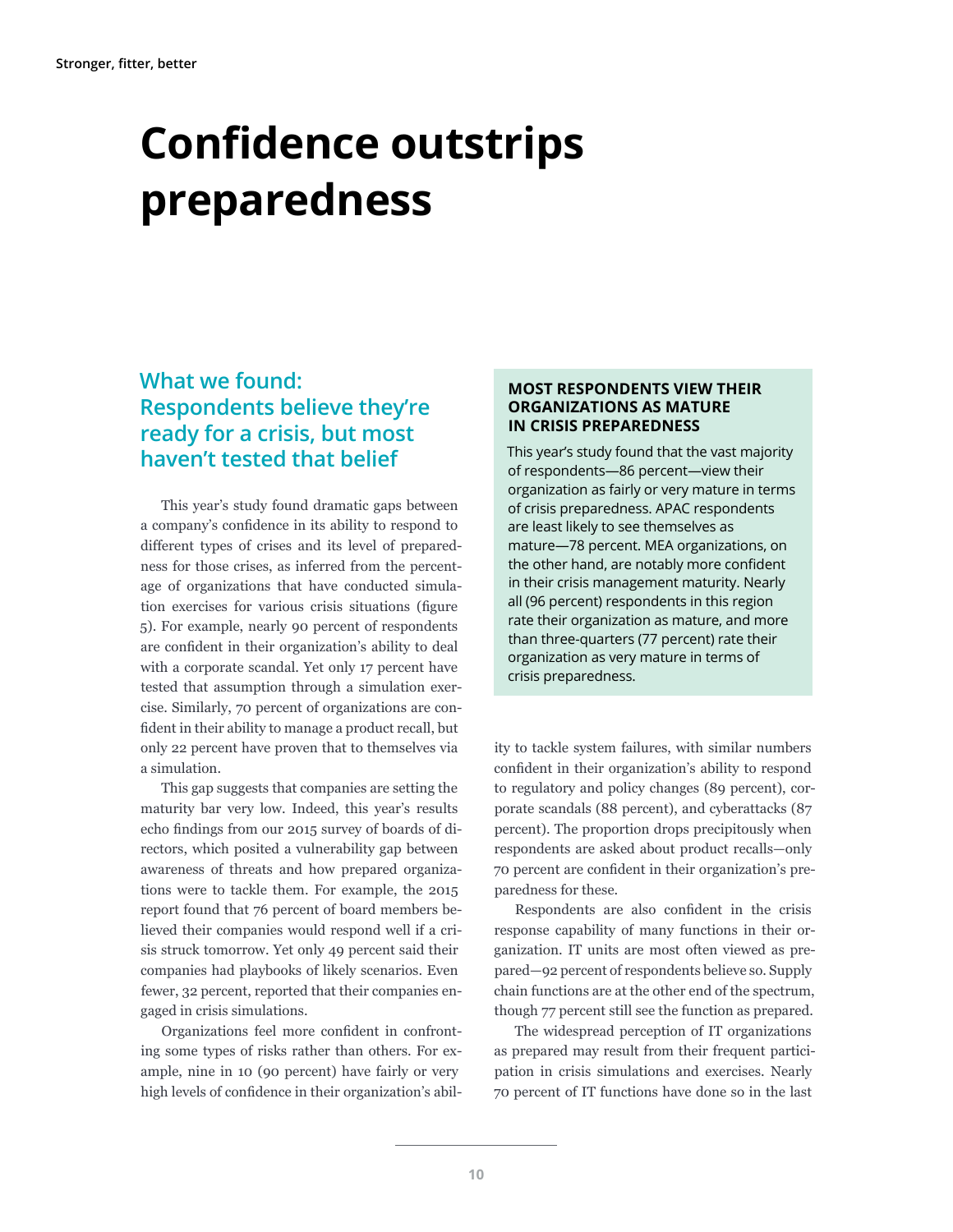# <span id="page-11-0"></span>**Confidence outstrips preparedness**

### **What we found: Respondents believe they're ready for a crisis, but most haven't tested that belief**

This year's study found dramatic gaps between a company's confidence in its ability to respond to different types of crises and its level of preparedness for those crises, as inferred from the percentage of organizations that have conducted simulation exercises for various crisis situations (figure 5). For example, nearly 90 percent of respondents are confident in their organization's ability to deal with a corporate scandal. Yet only 17 percent have tested that assumption through a simulation exercise. Similarly, 70 percent of organizations are confident in their ability to manage a product recall, but only 22 percent have proven that to themselves via a simulation.

This gap suggests that companies are setting the maturity bar very low. Indeed, this year's results echo findings from our 2015 survey of boards of directors, which posited a vulnerability gap between awareness of threats and how prepared organizations were to tackle them. For example, the 2015 report found that 76 percent of board members believed their companies would respond well if a crisis struck tomorrow. Yet only 49 percent said their companies had playbooks of likely scenarios. Even fewer, 32 percent, reported that their companies engaged in crisis simulations.

Organizations feel more confident in confronting some types of risks rather than others. For example, nine in 10 (90 percent) have fairly or very high levels of confidence in their organization's abil-

### **MOST RESPONDENTS VIEW THEIR ORGANIZATIONS AS MATURE IN CRISIS PREPAREDNESS**

This year's study found that the vast majority of respondents—86 percent—view their organization as fairly or very mature in terms of crisis preparedness. APAC respondents are least likely to see themselves as mature—78 percent. MEA organizations, on the other hand, are notably more confident in their crisis management maturity. Nearly all (96 percent) respondents in this region rate their organization as mature, and more than three-quarters (77 percent) rate their organization as very mature in terms of crisis preparedness.

ity to tackle system failures, with similar numbers confident in their organization's ability to respond to regulatory and policy changes (89 percent), corporate scandals (88 percent), and cyberattacks (87 percent). The proportion drops precipitously when respondents are asked about product recalls—only 70 percent are confident in their organization's preparedness for these.

Respondents are also confident in the crisis response capability of many functions in their organization. IT units are most often viewed as prepared—92 percent of respondents believe so. Supply chain functions are at the other end of the spectrum, though 77 percent still see the function as prepared.

The widespread perception of IT organizations as prepared may result from their frequent participation in crisis simulations and exercises. Nearly 70 percent of IT functions have done so in the last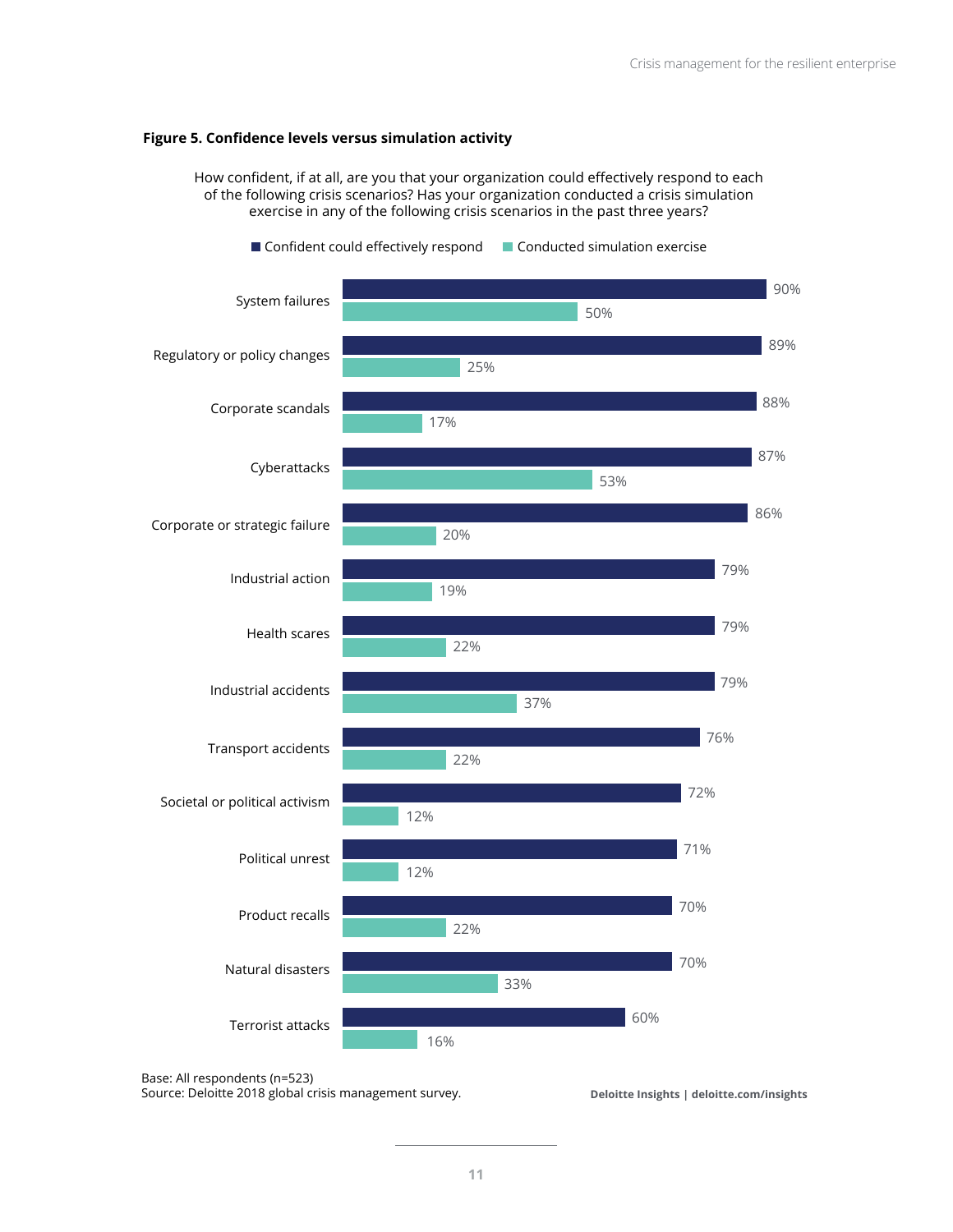#### **Figure 5. Confidence levels versus simulation activity**

How confident, if at all, are you that your organization could effectively respond to each of the following crisis scenarios? Has your organization conducted a crisis simulation exercise in any of the following crisis scenarios in the past three years?



Base: All respondents (n=523)

Source: Deloitte 2018 global crisis management survey.

**Deloitte Insights | deloitte.com/insights**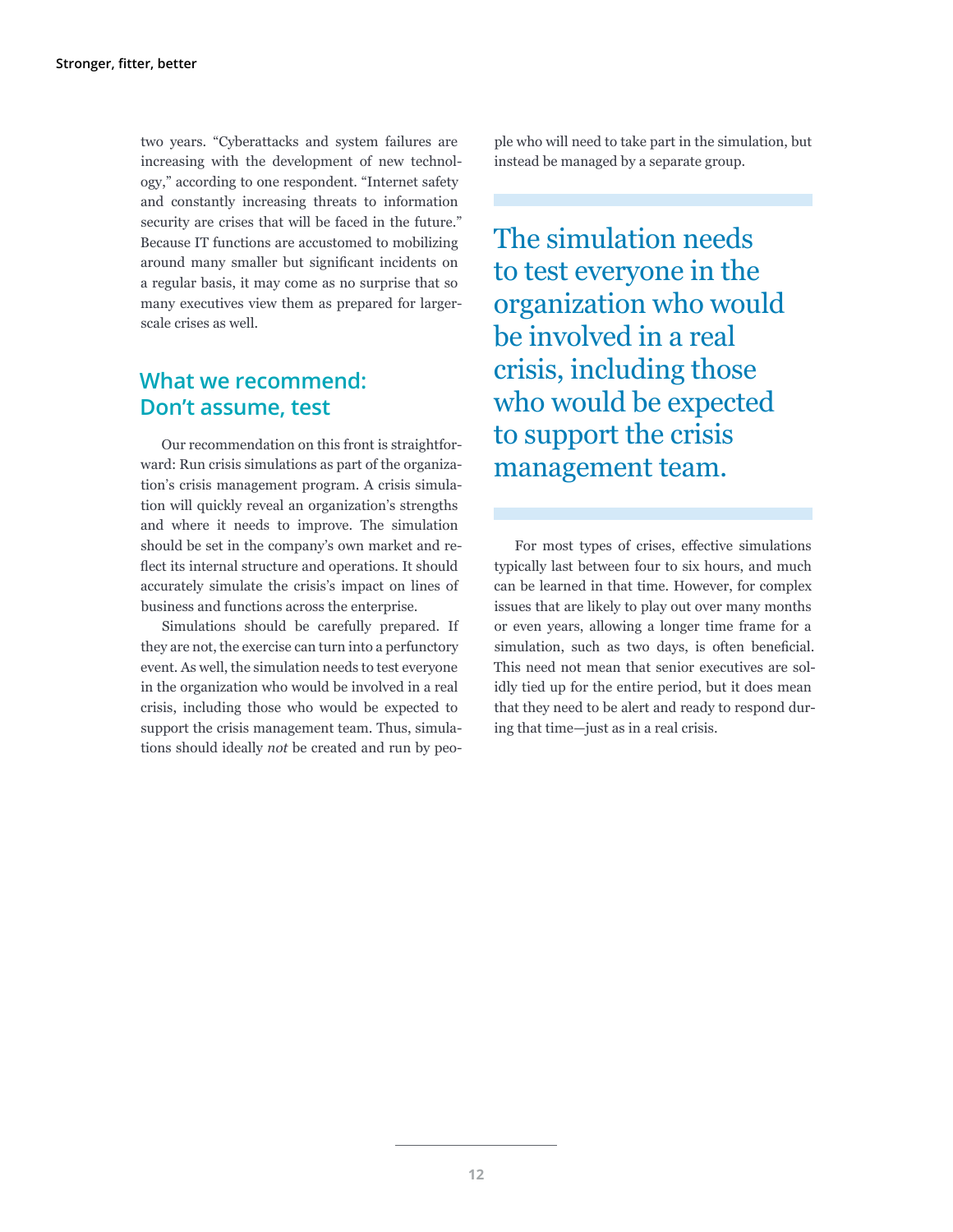two years. "Cyberattacks and system failures are increasing with the development of new technology," according to one respondent. "Internet safety and constantly increasing threats to information security are crises that will be faced in the future." Because IT functions are accustomed to mobilizing around many smaller but significant incidents on a regular basis, it may come as no surprise that so many executives view them as prepared for largerscale crises as well.

### **What we recommend: Don't assume, test**

Our recommendation on this front is straightforward: Run crisis simulations as part of the organization's crisis management program. A crisis simulation will quickly reveal an organization's strengths and where it needs to improve. The simulation should be set in the company's own market and reflect its internal structure and operations. It should accurately simulate the crisis's impact on lines of business and functions across the enterprise.

Simulations should be carefully prepared. If they are not, the exercise can turn into a perfunctory event. As well, the simulation needs to test everyone in the organization who would be involved in a real crisis, including those who would be expected to support the crisis management team. Thus, simulations should ideally *not* be created and run by peo-

ple who will need to take part in the simulation, but instead be managed by a separate group.

The simulation needs to test everyone in the organization who would be involved in a real crisis, including those who would be expected to support the crisis management team.

For most types of crises, effective simulations typically last between four to six hours, and much can be learned in that time. However, for complex issues that are likely to play out over many months or even years, allowing a longer time frame for a simulation, such as two days, is often beneficial. This need not mean that senior executives are solidly tied up for the entire period, but it does mean that they need to be alert and ready to respond during that time—just as in a real crisis.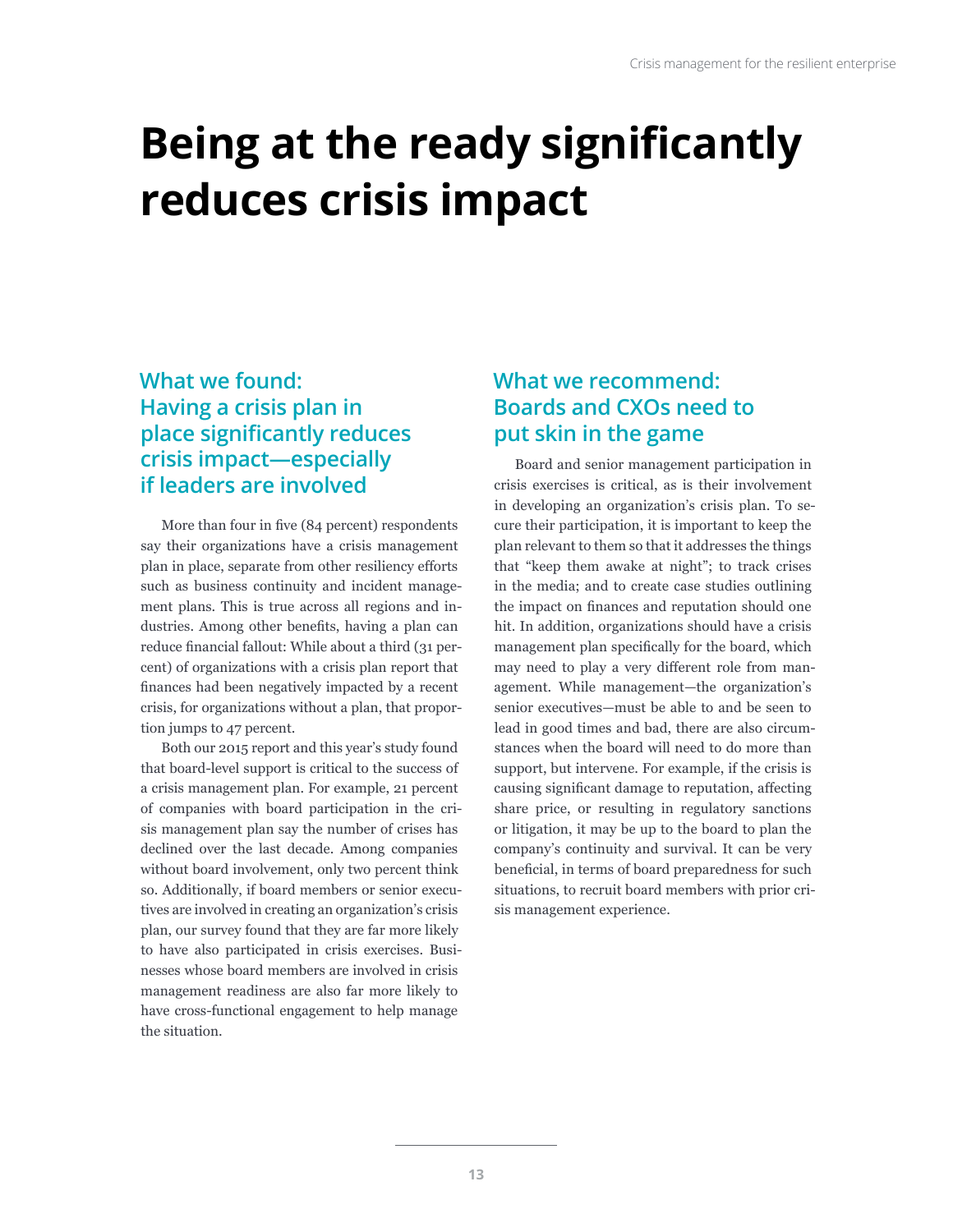# <span id="page-14-0"></span>**Being at the ready significantly reduces crisis impact**

### **What we found: Having a crisis plan in place significantly reduces crisis impact—especially if leaders are involved**

More than four in five (84 percent) respondents say their organizations have a crisis management plan in place, separate from other resiliency efforts such as business continuity and incident management plans. This is true across all regions and industries. Among other benefits, having a plan can reduce financial fallout: While about a third (31 percent) of organizations with a crisis plan report that finances had been negatively impacted by a recent crisis, for organizations without a plan, that proportion jumps to 47 percent.

Both our 2015 report and this year's study found that board-level support is critical to the success of a crisis management plan. For example, 21 percent of companies with board participation in the crisis management plan say the number of crises has declined over the last decade. Among companies without board involvement, only two percent think so. Additionally, if board members or senior executives are involved in creating an organization's crisis plan, our survey found that they are far more likely to have also participated in crisis exercises. Businesses whose board members are involved in crisis management readiness are also far more likely to have cross-functional engagement to help manage the situation.

## **What we recommend: Boards and CXOs need to put skin in the game**

Board and senior management participation in crisis exercises is critical, as is their involvement in developing an organization's crisis plan. To secure their participation, it is important to keep the plan relevant to them so that it addresses the things that "keep them awake at night"; to track crises in the media; and to create case studies outlining the impact on finances and reputation should one hit. In addition, organizations should have a crisis management plan specifically for the board, which may need to play a very different role from management. While management—the organization's senior executives—must be able to and be seen to lead in good times and bad, there are also circumstances when the board will need to do more than support, but intervene. For example, if the crisis is causing significant damage to reputation, affecting share price, or resulting in regulatory sanctions or litigation, it may be up to the board to plan the company's continuity and survival. It can be very beneficial, in terms of board preparedness for such situations, to recruit board members with prior crisis management experience.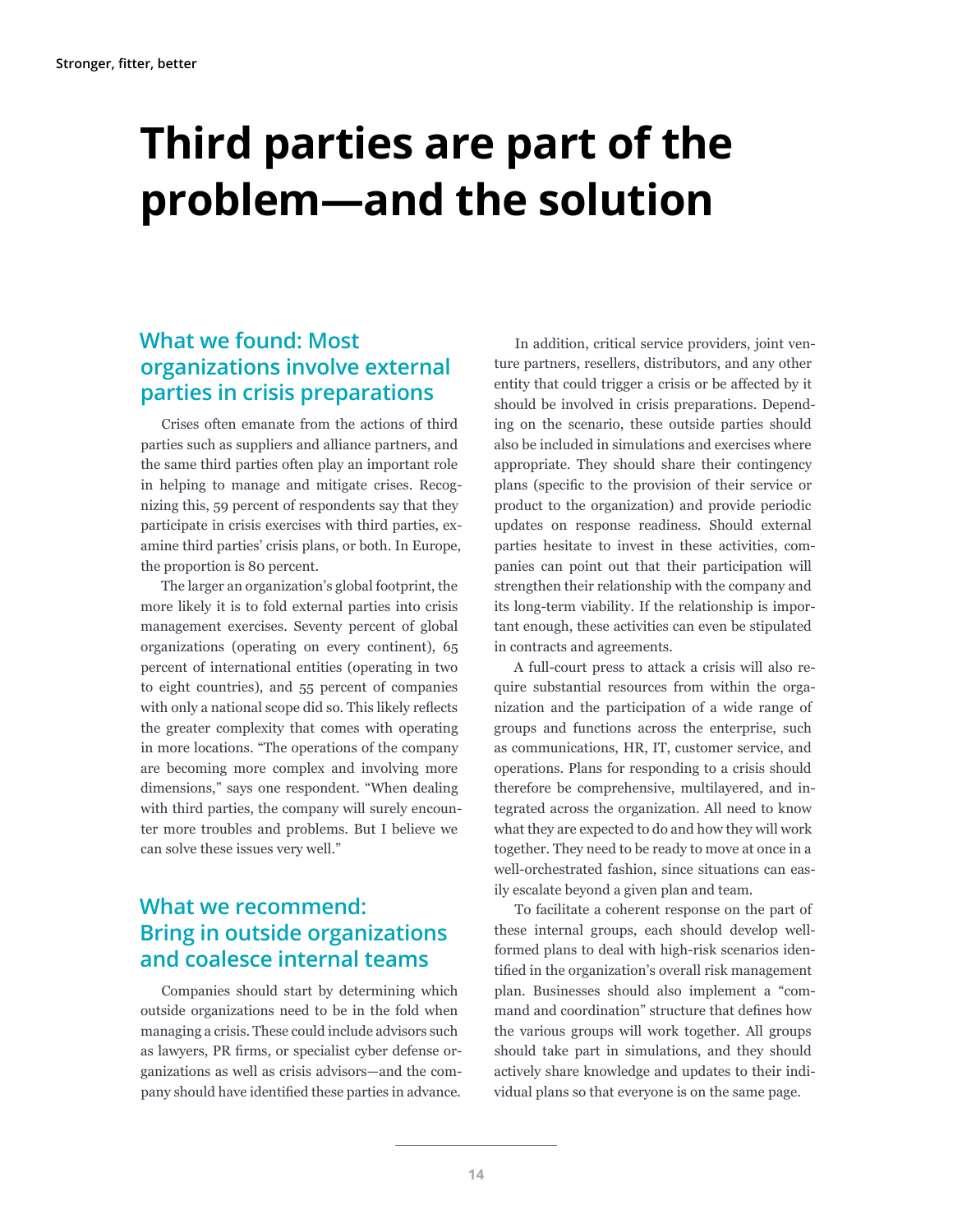# <span id="page-15-0"></span>**Third parties are part of the problem—and the solution**

### **What we found: Most organizations involve external parties in crisis preparations**

Crises often emanate from the actions of third parties such as suppliers and alliance partners, and the same third parties often play an important role in helping to manage and mitigate crises. Recognizing this, 59 percent of respondents say that they participate in crisis exercises with third parties, examine third parties' crisis plans, or both. In Europe, the proportion is 80 percent.

The larger an organization's global footprint, the more likely it is to fold external parties into crisis management exercises. Seventy percent of global organizations (operating on every continent), 65 percent of international entities (operating in two to eight countries), and 55 percent of companies with only a national scope did so. This likely reflects the greater complexity that comes with operating in more locations. "The operations of the company are becoming more complex and involving more dimensions," says one respondent. "When dealing with third parties, the company will surely encounter more troubles and problems. But I believe we can solve these issues very well."

### **What we recommend: Bring in outside organizations and coalesce internal teams**

Companies should start by determining which outside organizations need to be in the fold when managing a crisis. These could include advisors such as lawyers, PR firms, or specialist cyber defense organizations as well as crisis advisors—and the company should have identified these parties in advance.

In addition, critical service providers, joint venture partners, resellers, distributors, and any other entity that could trigger a crisis or be affected by it should be involved in crisis preparations. Depending on the scenario, these outside parties should also be included in simulations and exercises where appropriate. They should share their contingency plans (specific to the provision of their service or product to the organization) and provide periodic updates on response readiness. Should external parties hesitate to invest in these activities, companies can point out that their participation will strengthen their relationship with the company and its long-term viability. If the relationship is important enough, these activities can even be stipulated in contracts and agreements.

A full-court press to attack a crisis will also require substantial resources from within the organization and the participation of a wide range of groups and functions across the enterprise, such as communications, HR, IT, customer service, and operations. Plans for responding to a crisis should therefore be comprehensive, multilayered, and integrated across the organization. All need to know what they are expected to do and how they will work together. They need to be ready to move at once in a well-orchestrated fashion, since situations can easily escalate beyond a given plan and team.

To facilitate a coherent response on the part of these internal groups, each should develop wellformed plans to deal with high-risk scenarios identified in the organization's overall risk management plan. Businesses should also implement a "command and coordination" structure that defines how the various groups will work together. All groups should take part in simulations, and they should actively share knowledge and updates to their individual plans so that everyone is on the same page.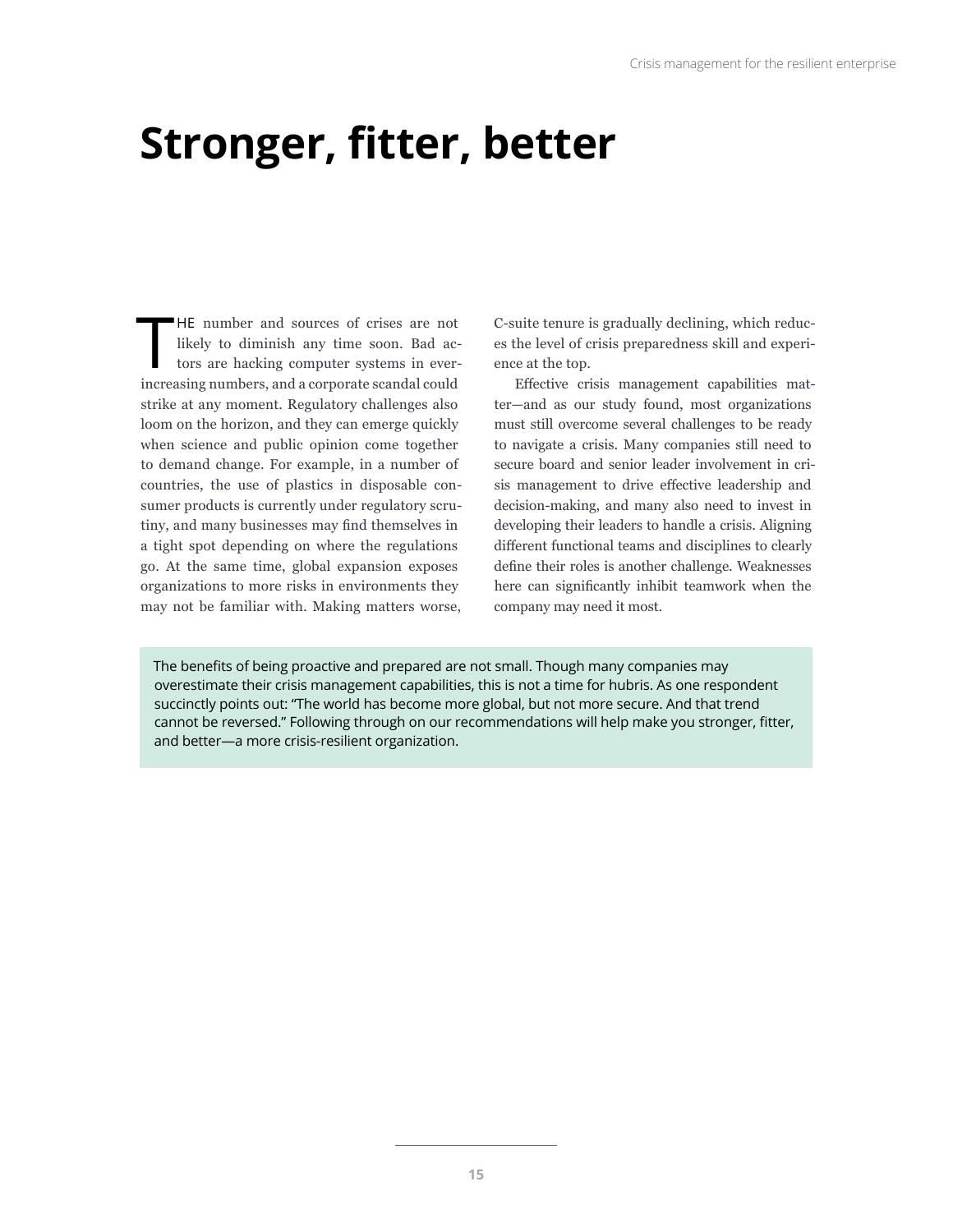# <span id="page-16-0"></span>**Stronger, fitter, better**

HE number and sources of crises are not likely to diminish any time soon. Bad actors are hacking computer systems in ever-<br>increasing numbers, and a corporate scandal could HE number and sources of crises are not likely to diminish any time soon. Bad actors are hacking computer systems in everstrike at any moment. Regulatory challenges also loom on the horizon, and they can emerge quickly when science and public opinion come together to demand change. For example, in a number of countries, the use of plastics in disposable consumer products is currently under regulatory scrutiny, and many businesses may find themselves in a tight spot depending on where the regulations go. At the same time, global expansion exposes organizations to more risks in environments they may not be familiar with. Making matters worse,

C-suite tenure is gradually declining, which reduces the level of crisis preparedness skill and experience at the top.

Effective crisis management capabilities matter—and as our study found, most organizations must still overcome several challenges to be ready to navigate a crisis. Many companies still need to secure board and senior leader involvement in crisis management to drive effective leadership and decision-making, and many also need to invest in developing their leaders to handle a crisis. Aligning different functional teams and disciplines to clearly define their roles is another challenge. Weaknesses here can significantly inhibit teamwork when the company may need it most.

The benefits of being proactive and prepared are not small. Though many companies may overestimate their crisis management capabilities, this is not a time for hubris. As one respondent succinctly points out: "The world has become more global, but not more secure. And that trend cannot be reversed." Following through on our recommendations will help make you stronger, fitter, and better—a more crisis-resilient organization.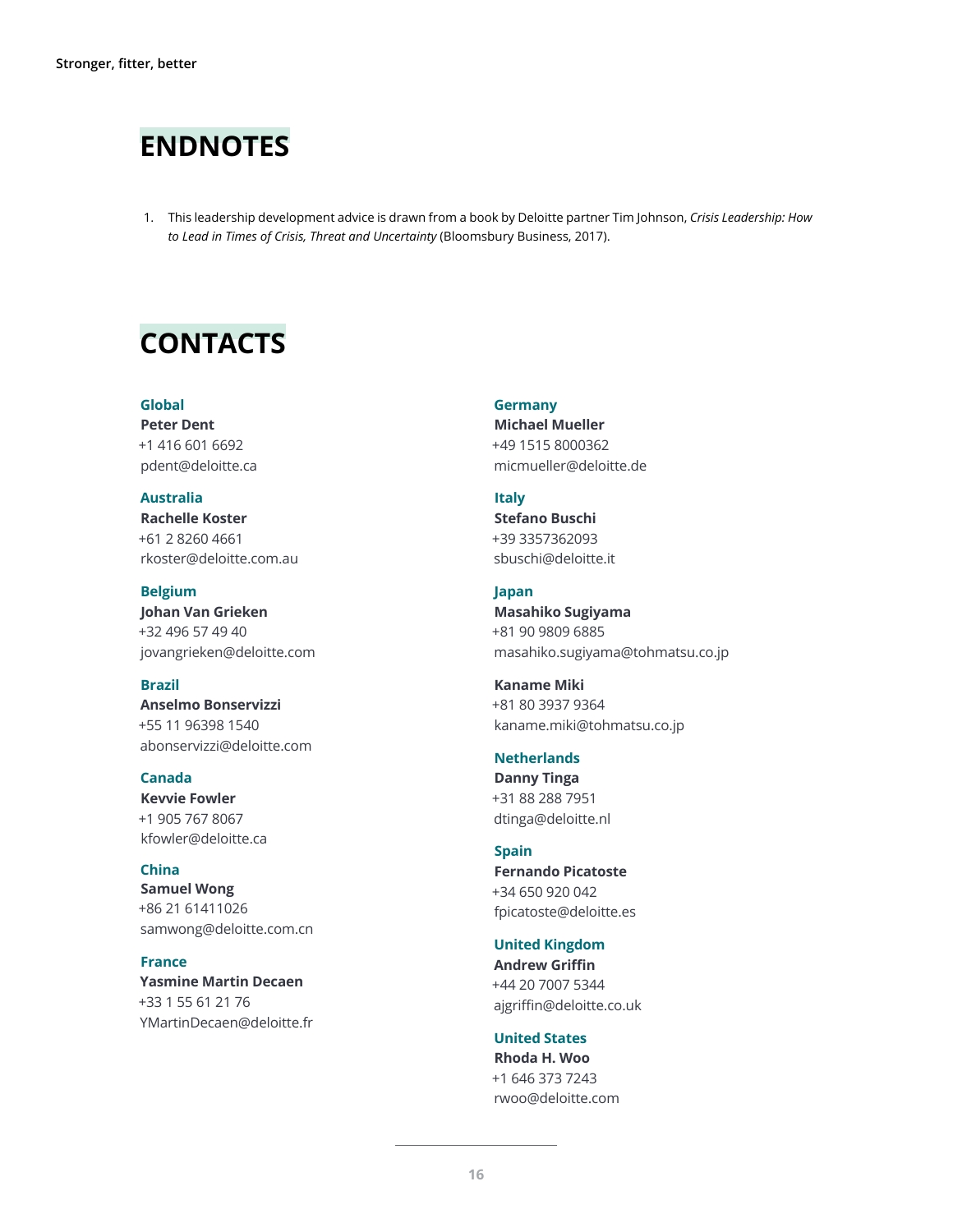# **ENDNOTES**

1. This leadership development advice is drawn from a book by Deloitte partner Tim Johnson, *Crisis Leadership: How to Lead in Times of Crisis, Threat and Uncertainty* (Bloomsbury Business, 2017).

# **CONTACTS**

### **Global**

**Peter Dent** +1 416 601 6692 pdent@deloitte.ca

### **Australia**

**Rachelle Koster** +61 2 8260 4661 rkoster@deloitte.com.au

**Belgium Johan Van Grieken**  +32 496 57 49 40 jovangrieken@deloitte.com

#### **Brazil**

**Anselmo Bonservizzi**  +55 11 96398 1540 abonservizzi@deloitte.com

### **Canada**

**Kevvie Fowler**  +1 905 767 8067 kfowler@deloitte.ca

**China Samuel Wong** +86 21 61411026 samwong@deloitte.com.cn

### **France Yasmine Martin Decaen**  +33 1 55 61 21 76 YMartinDecaen@deloitte.fr

**Germany Michael Mueller**  +49 1515 8000362 micmueller@deloitte.de

### **Italy**

**Stefano Buschi**  +39 3357362093 sbuschi@deloitte.it

### **Japan**

**Masahiko Sugiyama**  +81 90 9809 6885 masahiko.sugiyama@tohmatsu.co.jp

**Kaname Miki**  +81 80 3937 9364 kaname.miki@tohmatsu.co.jp

### **Netherlands**

**Danny Tinga**  +31 88 288 7951 dtinga@deloitte.nl

### **Spain Fernando Picatoste**  +34 650 920 042 fpicatoste@deloitte.es

**United Kingdom Andrew Griffin** +44 20 7007 5344 ajgriffin@deloitte.co.uk

**United States Rhoda H. Woo** +1 646 373 7243 rwoo@deloitte.com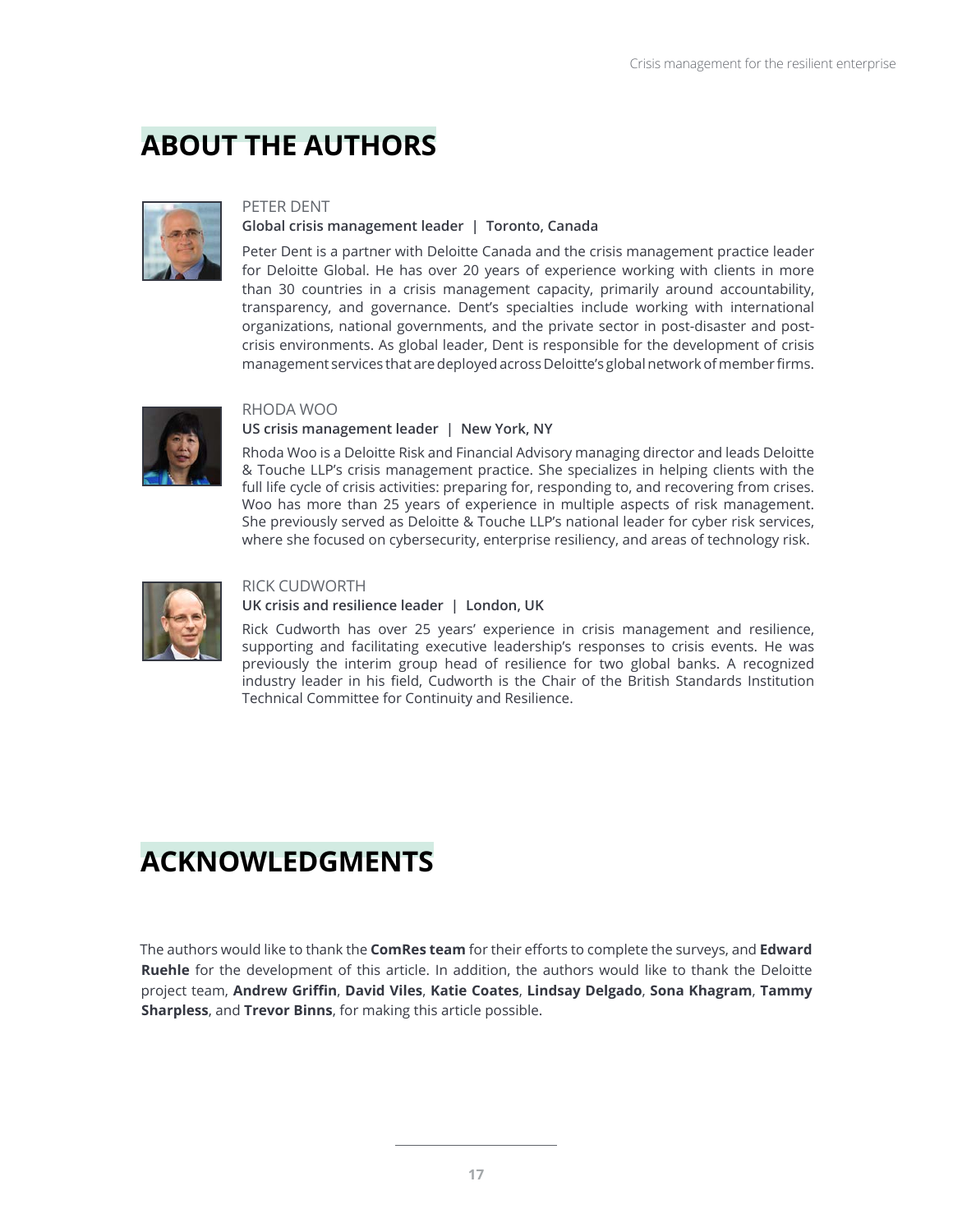# **ABOUT THE AUTHORS**



### PETER DENT

### **Global crisis management leader | Toronto, Canada**

Peter Dent is a partner with Deloitte Canada and the crisis management practice leader for Deloitte Global. He has over 20 years of experience working with clients in more than 30 countries in a crisis management capacity, primarily around accountability, transparency, and governance. Dent's specialties include working with international organizations, national governments, and the private sector in post-disaster and postcrisis environments. As global leader, Dent is responsible for the development of crisis management services that are deployed across Deloitte's global network of member firms.



### RHODA WOO

### **US crisis management leader | New York, NY**

Rhoda Woo is a Deloitte Risk and Financial Advisory managing director and leads Deloitte & Touche LLP's crisis management practice. She specializes in helping clients with the full life cycle of crisis activities: preparing for, responding to, and recovering from crises. Woo has more than 25 years of experience in multiple aspects of risk management. She previously served as Deloitte & Touche LLP's national leader for cyber risk services, where she focused on cybersecurity, enterprise resiliency, and areas of technology risk.



### RICK CUDWORTH

### **UK crisis and resilience leader | London, UK**

Rick Cudworth has over 25 years' experience in crisis management and resilience, supporting and facilitating executive leadership's responses to crisis events. He was previously the interim group head of resilience for two global banks. A recognized industry leader in his field, Cudworth is the Chair of the British Standards Institution Technical Committee for Continuity and Resilience.

# **ACKNOWLEDGMENTS**

The authors would like to thank the **ComRes team** for their efforts to complete the surveys, and **Edward Ruehle** for the development of this article. In addition, the authors would like to thank the Deloitte project team, **Andrew Griffin**, **David Viles**, **Katie Coates**, **Lindsay Delgado**, **Sona Khagram**, **Tammy Sharpless**, and **Trevor Binns**, for making this article possible.